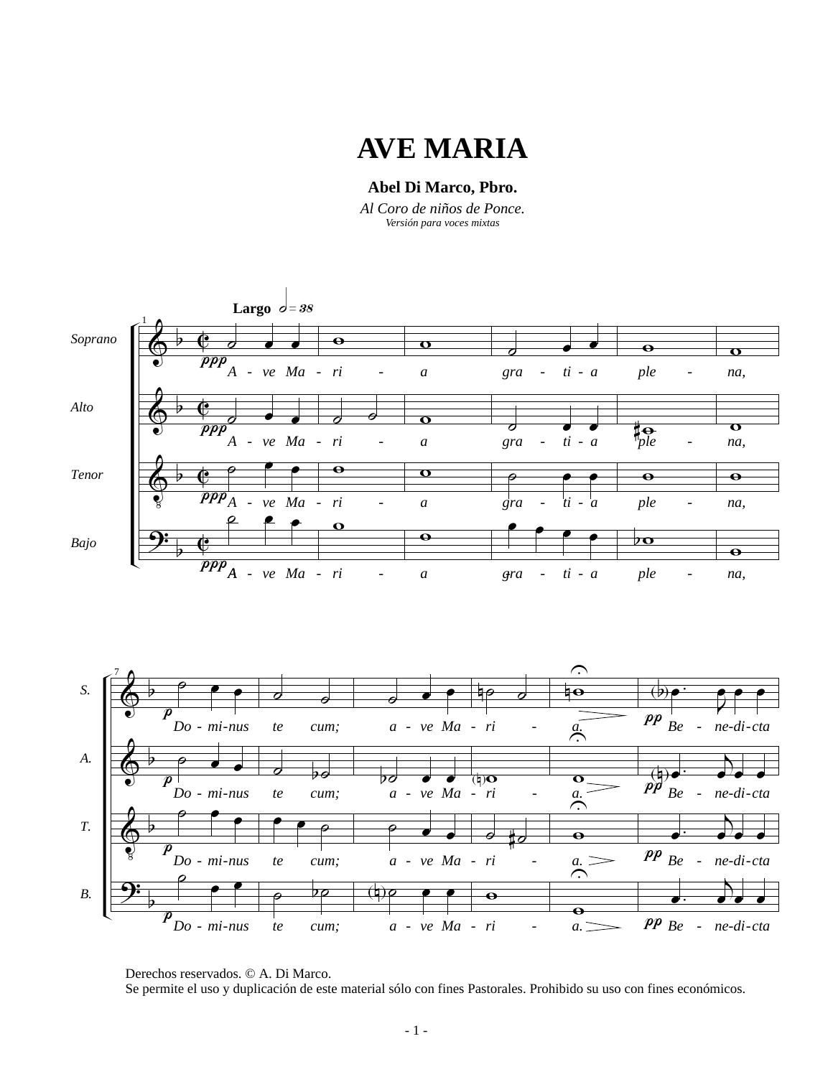## **AVE MARIA**

## **Abel Di Marco, Pbro.**

*Al Coro de niños de Ponce. Versión para voces mixtas*



Derechos reservados. © A. Di Marco.

Se permite el uso y duplicación de este material sólo con fines Pastorales. Prohibido su uso con fines económicos.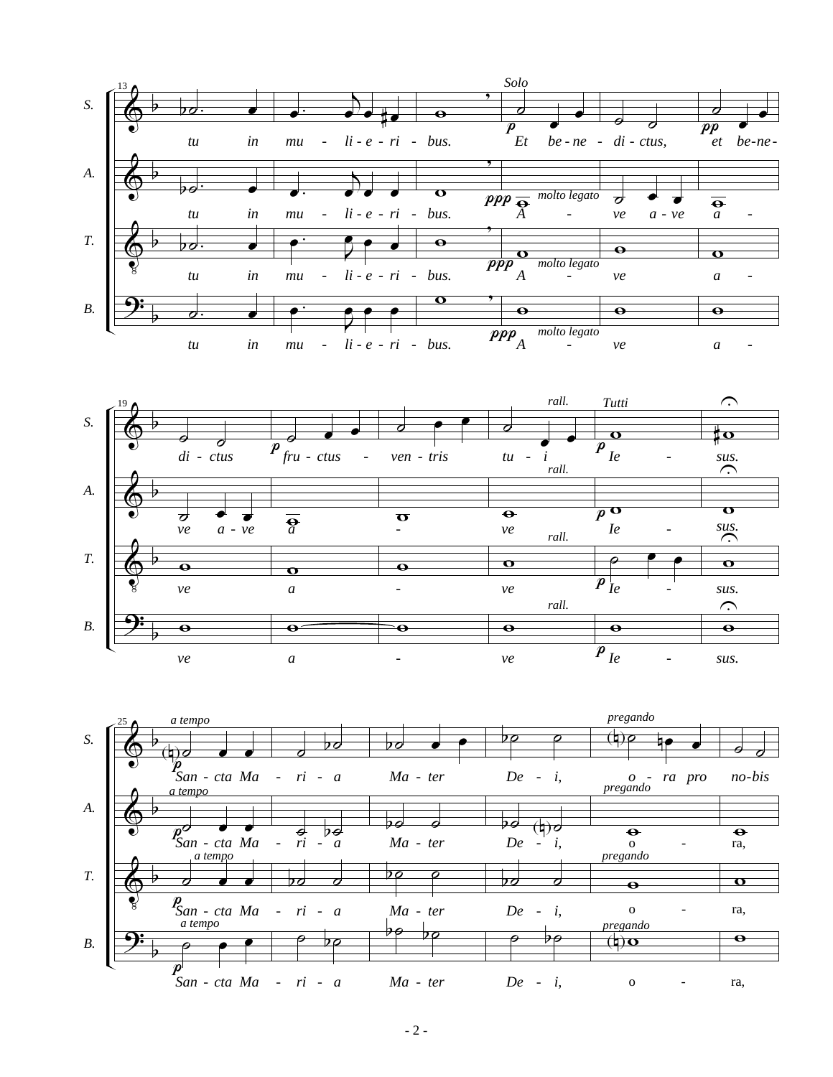